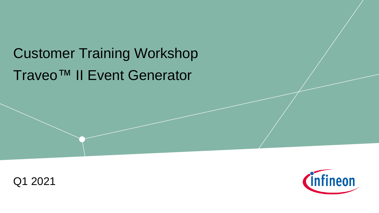# Traveo™ II Event Generator Customer Training Workshop



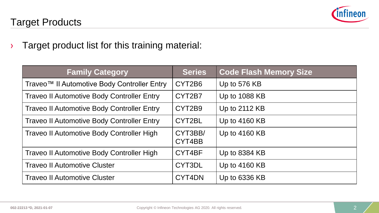

#### Target Products

› Target product list for this training material:

| <b>Family Category</b>                            | <b>Series</b>     | <b>Code Flash Memory Size</b> |  |
|---------------------------------------------------|-------------------|-------------------------------|--|
| Traveo™ II Automotive Body Controller Entry       | CYT2B6            | Up to 576 KB                  |  |
| <b>Traveo II Automotive Body Controller Entry</b> | CYT2B7            | Up to 1088 KB                 |  |
| <b>Traveo II Automotive Body Controller Entry</b> | CYT2B9            | Up to 2112 KB                 |  |
| <b>Traveo II Automotive Body Controller Entry</b> | CYT2BL            | Up to 4160 KB                 |  |
| Traveo II Automotive Body Controller High         | CYT3BB/<br>CYT4BB | Up to 4160 KB                 |  |
| Traveo II Automotive Body Controller High         | CYT4BF            | Up to 8384 KB                 |  |
| <b>Traveo II Automotive Cluster</b>               | CYT3DL            | Up to 4160 KB                 |  |
| <b>Traveo II Automotive Cluster</b>               | CYT4DN            | Up to 6336 KB                 |  |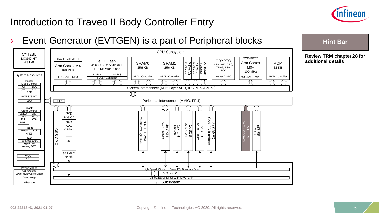

### Introduction to Traveo II Body Controller Entry

#### › Event Generator (EVTGEN) is a part of Peripheral blocks



## **Hint Bar**

#### **Review TRM chapter 28 for additional details**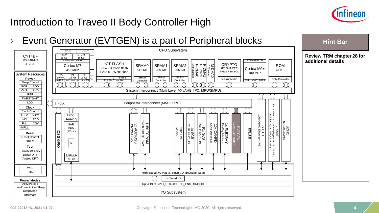

**Hint Bar** 

## Introduction to Traveo II Body Controller High

## › Event Generator (EVTGEN) is a part of Peripheral blocks

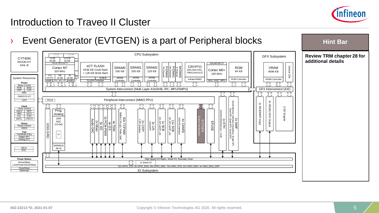

## Introduction to Traveo II Cluster

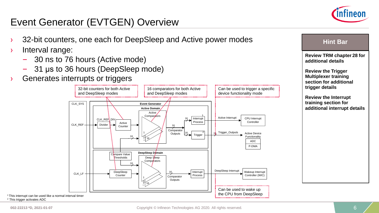

### Event Generator (EVTGEN) Overview

- 32-bit counters, one each for DeepSleep and Active power modes
- › Interval range:
	- 30 ns to 76 hours (Active mode)
	- 31 μs to 36 hours (DeepSleep mode)
- Generates interrupts or triggers



**Review TRM chapter 28 for additional details Review the Trigger Multiplexer training section for additional trigger details**

**Hint Bar** 

**Review the Interrupt training section for additional interrupt details**

<sup>2</sup> This trigger activates ADC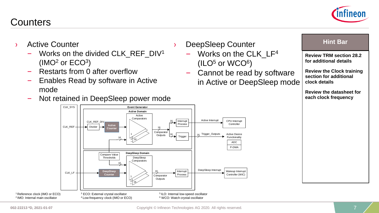#### **Counters**

- › Active Counter
	- Works on the divided CLK REF  $DV^1$  $(IMO<sup>2</sup>$  or  $ECO<sup>3</sup>)$
	- Restarts from 0 after overflow

CLK\_SYS

- Enables Read by software in Active mode
- Not retained in DeepSleep power mode



**Event Generator**

- DeepSleep Counter
	- Works on the CLK LF<sup>4</sup>  $(ILO<sup>5</sup>$  or  $WCO<sup>6</sup>)$
	- Cannot be read by software in Active or DeepSleep mode

#### **Hint Bar**

**Review TRM section 28.2 for additional details**

**Review the Clock training section for additional clock details**

**Review the datasheet for each clock frequency**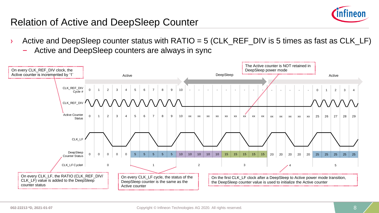

### Relation of Active and DeepSleep Counter

- $\rightarrow$  Active and DeepSleep counter status with RATIO = 5 (CLK\_REF\_DIV is 5 times as fast as CLK\_LF)
	- Active and DeepSleep counters are always in sync

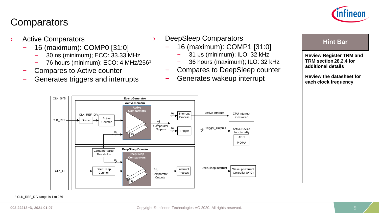#### **Comparators**



- Active Comparators
	- 16 (maximum): COMP0 [31:0]
		- 30 ns (minimum); ECO: 33.33 MHz
		- 76 hours (minimum); ECO: 4 MHz/256<sup>1</sup>
	- Compares to Active counter
	- Generates triggers and interrupts
- › DeepSleep Comparators
	- 16 (maximum): COMP1 [31:0]
		- 31 μs (minimum); ILO: 32 kHz
		- 36 hours (maximum); ILO: 32 kHz
		- Compares to DeepSleep counter
	- Generates wakeup interrupt



**Review Register TRM and TRM section 28.2.4 for additional details**

**Review the datasheet for each clock frequency**



#### <sup>1</sup>CLK\_REF\_DIV range is 1 to 256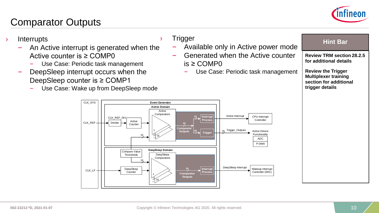

#### Comparator Outputs

#### › Interrupts

- An Active interrupt is generated when the Active counter is ≥ COMP0
	- Use Case: Periodic task management
- DeepSleep interrupt occurs when the DeepSleep counter is ≥ COMP1
	- Use Case: Wake up from DeepSleep mode

#### **Trigger**

- Available only in Active power mode
- Generated when the Active counter is ≥ COMP0
	- Use Case: Periodic task management

| Hint |  |
|------|--|
|      |  |

**Review TRM section 28.2.5 for additional details**

**Review the Trigger Multiplexer training section for additional trigger details**

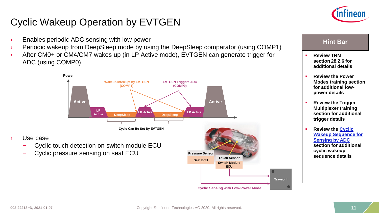

## Cyclic Wakeup Operation by EVTGEN

- **Enables periodic ADC sensing with low power and all access of the sensing with low power and all access of the sensing with low power and all access of the sensing with low power and all access of the sensing with low pow**
- › Periodic wakeup from DeepSleep mode by using the DeepSleep comparator (using COMP1)
- › After CM0+ or CM4/CM7 wakes up (in LP Active mode), EVTGEN can generate trigger for ADC (using COMP0)



- Use case
	- Cyclic touch detection on switch module ECU
	- Cyclic pressure sensing on seat ECU



- **Review TRM section 28.2.6 for additional details**
- **Review the Power Modes training section for additional lowpower details**
- **Review the Trigger Multiplexer training section for additional trigger details**
- **Review the Cyclic [Wakeup Sequence for](#page-11-0)  Sensing by ADC section for additional cyclic wakeup sequence details**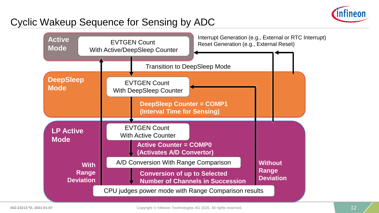

#### <span id="page-11-0"></span>Cyclic Wakeup Sequence for Sensing by ADC

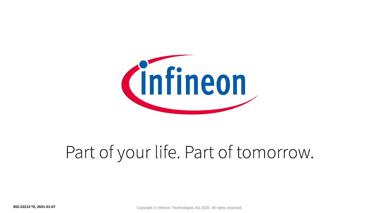

# Part of your life. Part of tomorrow.

**002-22213 \*D, 2021-01-07** Copyright © Infineon Technologies AG 2020. All rights reserved.